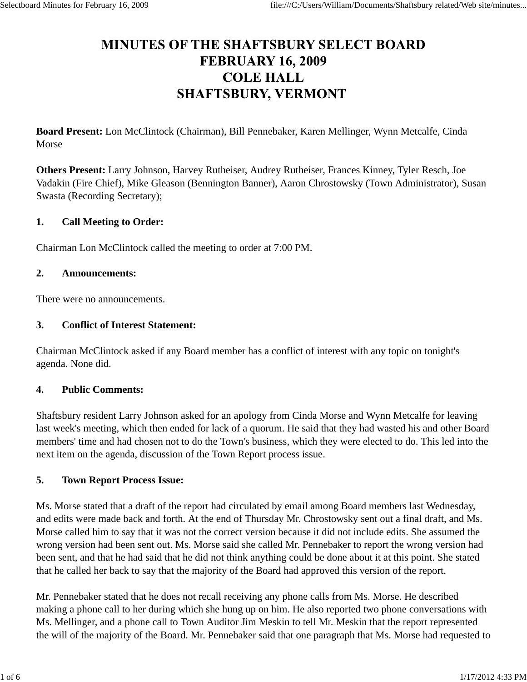# **MINUTES OF THE SHAFTSBURY SELECT BOARD FEBRUARY 16, 2009 COLE HALL SHAFTSBURY, VERMONT**

**Board Present:** Lon McClintock (Chairman), Bill Pennebaker, Karen Mellinger, Wynn Metcalfe, Cinda Morse

**Others Present:** Larry Johnson, Harvey Rutheiser, Audrey Rutheiser, Frances Kinney, Tyler Resch, Joe Vadakin (Fire Chief), Mike Gleason (Bennington Banner), Aaron Chrostowsky (Town Administrator), Susan Swasta (Recording Secretary);

#### **1. Call Meeting to Order:**

Chairman Lon McClintock called the meeting to order at 7:00 PM.

#### **2. Announcements:**

There were no announcements.

#### **3. Conflict of Interest Statement:**

Chairman McClintock asked if any Board member has a conflict of interest with any topic on tonight's agenda. None did.

#### **4. Public Comments:**

Shaftsbury resident Larry Johnson asked for an apology from Cinda Morse and Wynn Metcalfe for leaving last week's meeting, which then ended for lack of a quorum. He said that they had wasted his and other Board members' time and had chosen not to do the Town's business, which they were elected to do. This led into the next item on the agenda, discussion of the Town Report process issue.

### **5. Town Report Process Issue:**

Ms. Morse stated that a draft of the report had circulated by email among Board members last Wednesday, and edits were made back and forth. At the end of Thursday Mr. Chrostowsky sent out a final draft, and Ms. Morse called him to say that it was not the correct version because it did not include edits. She assumed the wrong version had been sent out. Ms. Morse said she called Mr. Pennebaker to report the wrong version had been sent, and that he had said that he did not think anything could be done about it at this point. She stated that he called her back to say that the majority of the Board had approved this version of the report.

Mr. Pennebaker stated that he does not recall receiving any phone calls from Ms. Morse. He described making a phone call to her during which she hung up on him. He also reported two phone conversations with Ms. Mellinger, and a phone call to Town Auditor Jim Meskin to tell Mr. Meskin that the report represented the will of the majority of the Board. Mr. Pennebaker said that one paragraph that Ms. Morse had requested to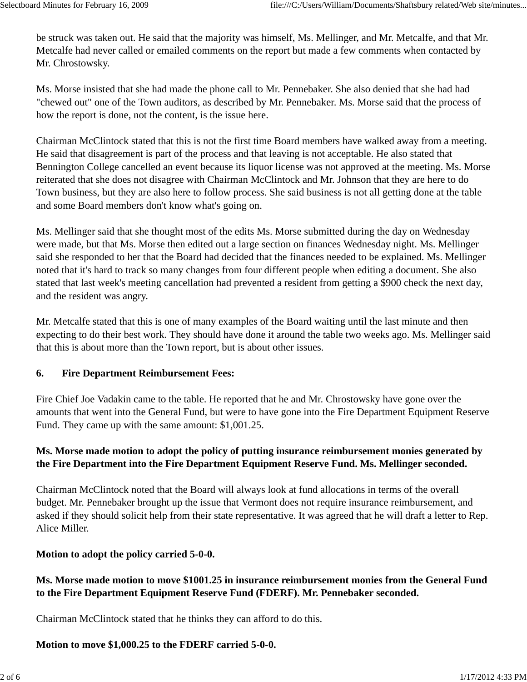be struck was taken out. He said that the majority was himself, Ms. Mellinger, and Mr. Metcalfe, and that Mr. Metcalfe had never called or emailed comments on the report but made a few comments when contacted by Mr. Chrostowsky.

Ms. Morse insisted that she had made the phone call to Mr. Pennebaker. She also denied that she had had "chewed out" one of the Town auditors, as described by Mr. Pennebaker. Ms. Morse said that the process of how the report is done, not the content, is the issue here.

Chairman McClintock stated that this is not the first time Board members have walked away from a meeting. He said that disagreement is part of the process and that leaving is not acceptable. He also stated that Bennington College cancelled an event because its liquor license was not approved at the meeting. Ms. Morse reiterated that she does not disagree with Chairman McClintock and Mr. Johnson that they are here to do Town business, but they are also here to follow process. She said business is not all getting done at the table and some Board members don't know what's going on.

Ms. Mellinger said that she thought most of the edits Ms. Morse submitted during the day on Wednesday were made, but that Ms. Morse then edited out a large section on finances Wednesday night. Ms. Mellinger said she responded to her that the Board had decided that the finances needed to be explained. Ms. Mellinger noted that it's hard to track so many changes from four different people when editing a document. She also stated that last week's meeting cancellation had prevented a resident from getting a \$900 check the next day, and the resident was angry.

Mr. Metcalfe stated that this is one of many examples of the Board waiting until the last minute and then expecting to do their best work. They should have done it around the table two weeks ago. Ms. Mellinger said that this is about more than the Town report, but is about other issues.

### **6. Fire Department Reimbursement Fees:**

Fire Chief Joe Vadakin came to the table. He reported that he and Mr. Chrostowsky have gone over the amounts that went into the General Fund, but were to have gone into the Fire Department Equipment Reserve Fund. They came up with the same amount: \$1,001.25.

# **Ms. Morse made motion to adopt the policy of putting insurance reimbursement monies generated by the Fire Department into the Fire Department Equipment Reserve Fund. Ms. Mellinger seconded.**

Chairman McClintock noted that the Board will always look at fund allocations in terms of the overall budget. Mr. Pennebaker brought up the issue that Vermont does not require insurance reimbursement, and asked if they should solicit help from their state representative. It was agreed that he will draft a letter to Rep. Alice Miller.

# **Motion to adopt the policy carried 5-0-0.**

# **Ms. Morse made motion to move \$1001.25 in insurance reimbursement monies from the General Fund to the Fire Department Equipment Reserve Fund (FDERF). Mr. Pennebaker seconded.**

Chairman McClintock stated that he thinks they can afford to do this.

### **Motion to move \$1,000.25 to the FDERF carried 5-0-0.**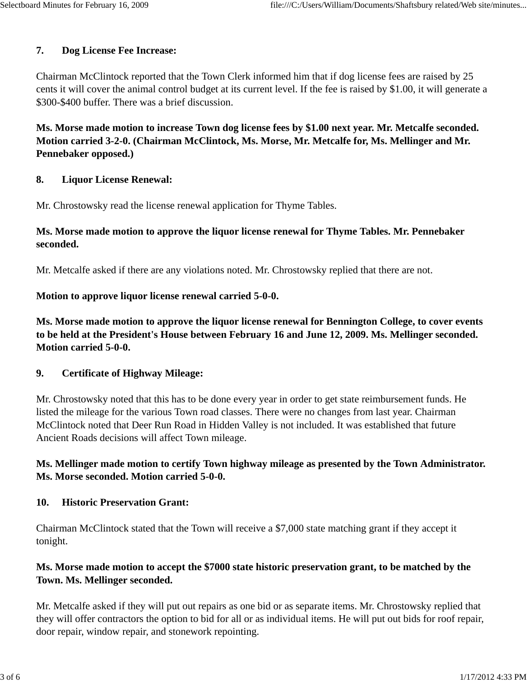### **7. Dog License Fee Increase:**

Chairman McClintock reported that the Town Clerk informed him that if dog license fees are raised by 25 cents it will cover the animal control budget at its current level. If the fee is raised by \$1.00, it will generate a \$300-\$400 buffer. There was a brief discussion.

**Ms. Morse made motion to increase Town dog license fees by \$1.00 next year. Mr. Metcalfe seconded. Motion carried 3-2-0. (Chairman McClintock, Ms. Morse, Mr. Metcalfe for, Ms. Mellinger and Mr. Pennebaker opposed.)**

#### **8. Liquor License Renewal:**

Mr. Chrostowsky read the license renewal application for Thyme Tables.

### **Ms. Morse made motion to approve the liquor license renewal for Thyme Tables. Mr. Pennebaker seconded.**

Mr. Metcalfe asked if there are any violations noted. Mr. Chrostowsky replied that there are not.

#### **Motion to approve liquor license renewal carried 5-0-0.**

**Ms. Morse made motion to approve the liquor license renewal for Bennington College, to cover events to be held at the President's House between February 16 and June 12, 2009. Ms. Mellinger seconded. Motion carried 5-0-0.**

#### **9. Certificate of Highway Mileage:**

Mr. Chrostowsky noted that this has to be done every year in order to get state reimbursement funds. He listed the mileage for the various Town road classes. There were no changes from last year. Chairman McClintock noted that Deer Run Road in Hidden Valley is not included. It was established that future Ancient Roads decisions will affect Town mileage.

### **Ms. Mellinger made motion to certify Town highway mileage as presented by the Town Administrator. Ms. Morse seconded. Motion carried 5-0-0.**

#### **10. Historic Preservation Grant:**

Chairman McClintock stated that the Town will receive a \$7,000 state matching grant if they accept it tonight.

### **Ms. Morse made motion to accept the \$7000 state historic preservation grant, to be matched by the Town. Ms. Mellinger seconded.**

Mr. Metcalfe asked if they will put out repairs as one bid or as separate items. Mr. Chrostowsky replied that they will offer contractors the option to bid for all or as individual items. He will put out bids for roof repair, door repair, window repair, and stonework repointing.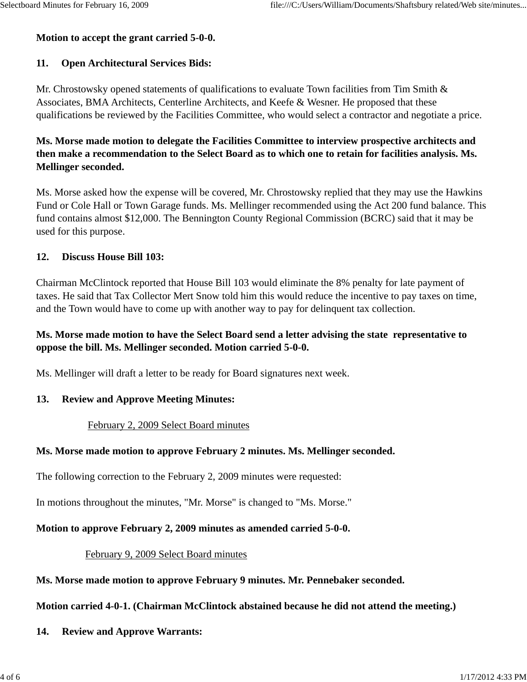#### **Motion to accept the grant carried 5-0-0.**

# **11. Open Architectural Services Bids:**

Mr. Chrostowsky opened statements of qualifications to evaluate Town facilities from Tim Smith & Associates, BMA Architects, Centerline Architects, and Keefe & Wesner. He proposed that these qualifications be reviewed by the Facilities Committee, who would select a contractor and negotiate a price.

# **Ms. Morse made motion to delegate the Facilities Committee to interview prospective architects and then make a recommendation to the Select Board as to which one to retain for facilities analysis. Ms. Mellinger seconded.**

Ms. Morse asked how the expense will be covered, Mr. Chrostowsky replied that they may use the Hawkins Fund or Cole Hall or Town Garage funds. Ms. Mellinger recommended using the Act 200 fund balance. This fund contains almost \$12,000. The Bennington County Regional Commission (BCRC) said that it may be used for this purpose.

# **12. Discuss House Bill 103:**

Chairman McClintock reported that House Bill 103 would eliminate the 8% penalty for late payment of taxes. He said that Tax Collector Mert Snow told him this would reduce the incentive to pay taxes on time, and the Town would have to come up with another way to pay for delinquent tax collection.

# **Ms. Morse made motion to have the Select Board send a letter advising the state representative to oppose the bill. Ms. Mellinger seconded. Motion carried 5-0-0.**

Ms. Mellinger will draft a letter to be ready for Board signatures next week.

# **13. Review and Approve Meeting Minutes:**

# February 2, 2009 Select Board minutes

# **Ms. Morse made motion to approve February 2 minutes. Ms. Mellinger seconded.**

The following correction to the February 2, 2009 minutes were requested:

In motions throughout the minutes, "Mr. Morse" is changed to "Ms. Morse."

# **Motion to approve February 2, 2009 minutes as amended carried 5-0-0.**

# February 9, 2009 Select Board minutes

# **Ms. Morse made motion to approve February 9 minutes. Mr. Pennebaker seconded.**

# **Motion carried 4-0-1. (Chairman McClintock abstained because he did not attend the meeting.)**

# **14. Review and Approve Warrants:**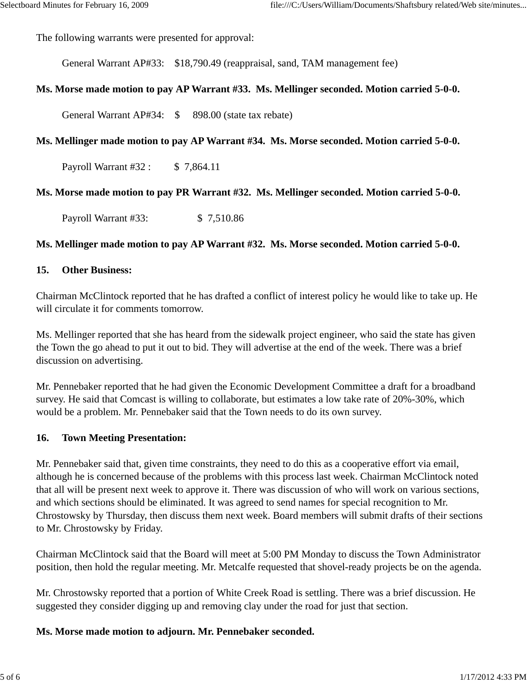The following warrants were presented for approval:

General Warrant AP#33: \$18,790.49 (reappraisal, sand, TAM management fee)

#### **Ms. Morse made motion to pay AP Warrant #33. Ms. Mellinger seconded. Motion carried 5-0-0.**

General Warrant AP#34: \$ 898.00 (state tax rebate)

#### **Ms. Mellinger made motion to pay AP Warrant #34. Ms. Morse seconded. Motion carried 5-0-0.**

Payroll Warrant #32 : \$7,864.11

#### **Ms. Morse made motion to pay PR Warrant #32. Ms. Mellinger seconded. Motion carried 5-0-0.**

Payroll Warrant #33: \$7,510.86

#### **Ms. Mellinger made motion to pay AP Warrant #32. Ms. Morse seconded. Motion carried 5-0-0.**

#### **15. Other Business:**

Chairman McClintock reported that he has drafted a conflict of interest policy he would like to take up. He will circulate it for comments tomorrow.

Ms. Mellinger reported that she has heard from the sidewalk project engineer, who said the state has given the Town the go ahead to put it out to bid. They will advertise at the end of the week. There was a brief discussion on advertising.

Mr. Pennebaker reported that he had given the Economic Development Committee a draft for a broadband survey. He said that Comcast is willing to collaborate, but estimates a low take rate of 20%-30%, which would be a problem. Mr. Pennebaker said that the Town needs to do its own survey.

#### **16. Town Meeting Presentation:**

Mr. Pennebaker said that, given time constraints, they need to do this as a cooperative effort via email, although he is concerned because of the problems with this process last week. Chairman McClintock noted that all will be present next week to approve it. There was discussion of who will work on various sections, and which sections should be eliminated. It was agreed to send names for special recognition to Mr. Chrostowsky by Thursday, then discuss them next week. Board members will submit drafts of their sections to Mr. Chrostowsky by Friday.

Chairman McClintock said that the Board will meet at 5:00 PM Monday to discuss the Town Administrator position, then hold the regular meeting. Mr. Metcalfe requested that shovel-ready projects be on the agenda.

Mr. Chrostowsky reported that a portion of White Creek Road is settling. There was a brief discussion. He suggested they consider digging up and removing clay under the road for just that section.

#### **Ms. Morse made motion to adjourn. Mr. Pennebaker seconded.**